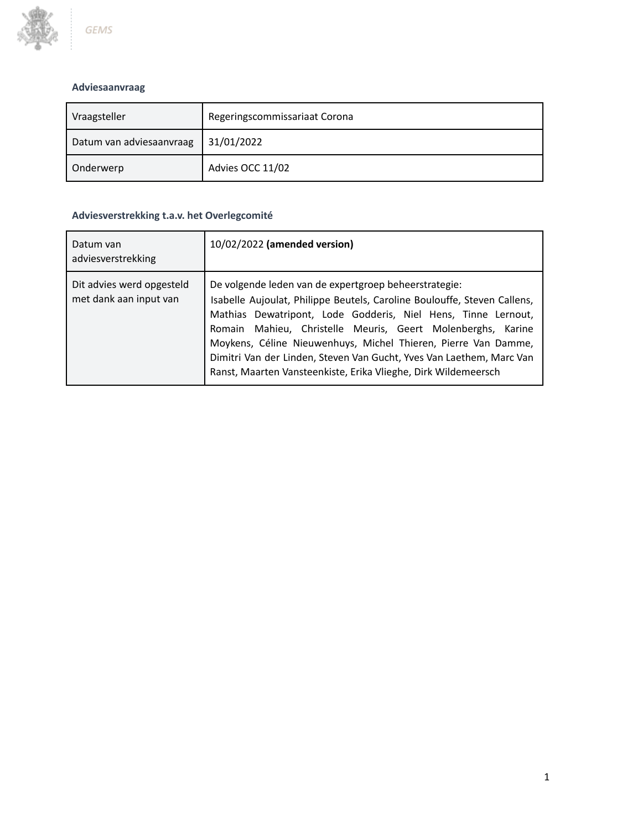

# **Adviesaanvraag**

| Vraagsteller             | Regeringscommissariaat Corona |  |
|--------------------------|-------------------------------|--|
| Datum van adviesaanvraag | 31/01/2022                    |  |
| Onderwerp                | Advies OCC 11/02              |  |

# **Adviesverstrekking t.a.v. het Overlegcomité**

| Datum van<br>adviesverstrekking                     | 10/02/2022 (amended version)                                                                                                                                                                                                                                                                                                                                                                                                                                                  |
|-----------------------------------------------------|-------------------------------------------------------------------------------------------------------------------------------------------------------------------------------------------------------------------------------------------------------------------------------------------------------------------------------------------------------------------------------------------------------------------------------------------------------------------------------|
| Dit advies werd opgesteld<br>met dank aan input van | De volgende leden van de expertgroep beheerstrategie:<br>Isabelle Aujoulat, Philippe Beutels, Caroline Boulouffe, Steven Callens,<br>Mathias Dewatripont, Lode Godderis, Niel Hens, Tinne Lernout,<br>Romain Mahieu, Christelle Meuris, Geert Molenberghs, Karine<br>Moykens, Céline Nieuwenhuys, Michel Thieren, Pierre Van Damme,<br>Dimitri Van der Linden, Steven Van Gucht, Yves Van Laethem, Marc Van<br>Ranst, Maarten Vansteenkiste, Erika Vlieghe, Dirk Wildemeersch |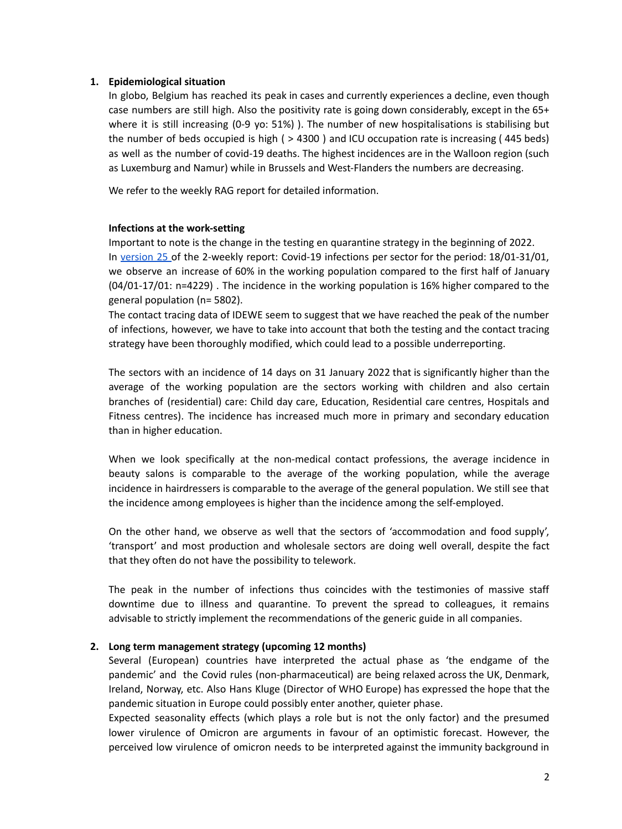#### **1. Epidemiological situation**

In globo, Belgium has reached its peak in cases and currently experiences a decline, even though case numbers are still high. Also the positivity rate is going down considerably, except in the 65+ where it is still increasing (0-9 yo: 51%)). The number of new hospitalisations is stabilising but the number of beds occupied is high ( > 4300 ) and ICU occupation rate is increasing ( 445 beds) as well as the number of covid-19 deaths. The highest incidences are in the Walloon region (such as Luxemburg and Namur) while in Brussels and West-Flanders the numbers are decreasing.

We refer to the weekly RAG report for detailed information.

#### **Infections at the work-setting**

Important to note is the change in the testing en quarantine strategy in the beginning of 2022. In [version](https://fdn01.fed.be/documents/91f515f8ee7cf2e2a19ddf901f8a53c5/COVID%20RZS2021_v25.pdf) 25 of the 2-weekly report: Covid-19 infections per sector for the period: 18/01-31/01, we observe an increase of 60% in the working population compared to the first half of January (04/01-17/01: n=4229) . The incidence in the working population is 16% higher compared to the general population (n= 5802).

The contact tracing data of IDEWE seem to suggest that we have reached the peak of the number of infections, however, we have to take into account that both the testing and the contact tracing strategy have been thoroughly modified, which could lead to a possible underreporting.

The sectors with an incidence of 14 days on 31 January 2022 that is significantly higher than the average of the working population are the sectors working with children and also certain branches of (residential) care: Child day care, Education, Residential care centres, Hospitals and Fitness centres). The incidence has increased much more in primary and secondary education than in higher education.

When we look specifically at the non-medical contact professions, the average incidence in beauty salons is comparable to the average of the working population, while the average incidence in hairdressers is comparable to the average of the general population. We still see that the incidence among employees is higher than the incidence among the self-employed.

On the other hand, we observe as well that the sectors of 'accommodation and food supply', 'transport' and most production and wholesale sectors are doing well overall, despite the fact that they often do not have the possibility to telework.

The peak in the number of infections thus coincides with the testimonies of massive staff downtime due to illness and quarantine. To prevent the spread to colleagues, it remains advisable to strictly implement the recommendations of the generic guide in all companies.

## **2. Long term management strategy (upcoming 12 months)**

Several (European) countries have interpreted the actual phase as 'the endgame of the pandemic' and the Covid rules (non-pharmaceutical) are being relaxed across the UK, Denmark, Ireland, Norway, etc. Also Hans Kluge (Director of WHO Europe) has expressed the hope that the pandemic situation in Europe could possibly enter another, quieter phase.

Expected seasonality effects (which plays a role but is not the only factor) and the presumed lower virulence of Omicron are arguments in favour of an optimistic forecast. However, the perceived low virulence of omicron needs to be interpreted against the immunity background in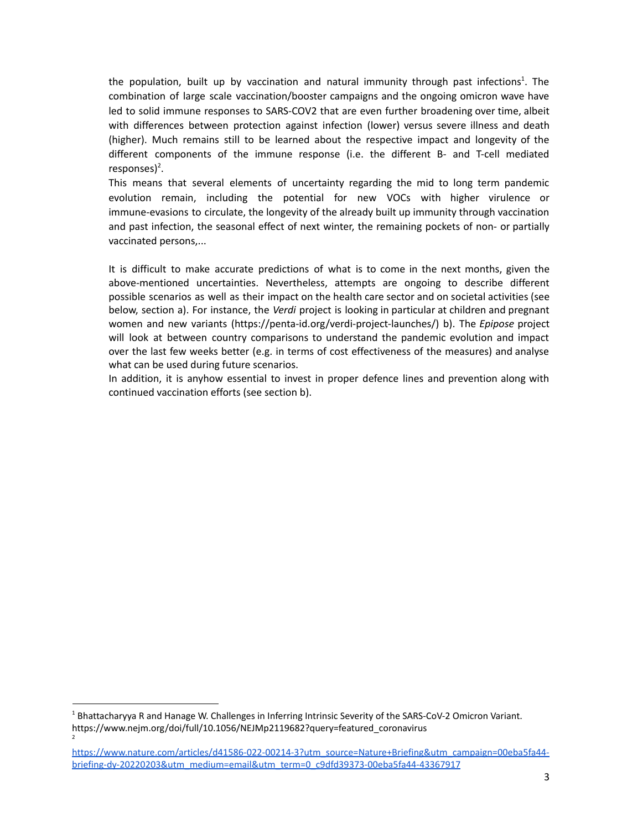the population, built up by vaccination and natural immunity through past infections<sup>1</sup>. The combination of large scale vaccination/booster campaigns and the ongoing omicron wave have led to solid immune responses to SARS-COV2 that are even further broadening over time, albeit with differences between protection against infection (lower) versus severe illness and death (higher). Much remains still to be learned about the respective impact and longevity of the different components of the immune response (i.e. the different B- and T-cell mediated responses)<sup>2</sup>.

This means that several elements of uncertainty regarding the mid to long term pandemic evolution remain, including the potential for new VOCs with higher virulence or immune-evasions to circulate, the longevity of the already built up immunity through vaccination and past infection, the seasonal effect of next winter, the remaining pockets of non- or partially vaccinated persons,...

It is difficult to make accurate predictions of what is to come in the next months, given the above-mentioned uncertainties. Nevertheless, attempts are ongoing to describe different possible scenarios as well as their impact on the health care sector and on societal activities (see below, section a). For instance, the *Verdi* project is looking in particular at children and pregnant women and new variants (https://penta-id.org/verdi-project-launches/) b). The *Epipose* project will look at between country comparisons to understand the pandemic evolution and impact over the last few weeks better (e.g. in terms of cost effectiveness of the measures) and analyse what can be used during future scenarios.

In addition, it is anyhow essential to invest in proper defence lines and prevention along with continued vaccination efforts (see section b).

2

<sup>1</sup> Bhattacharyya R and Hanage W. Challenges in Inferring Intrinsic Severity of the SARS-CoV-2 Omicron Variant. https://www.nejm.org/doi/full/10.1056/NEJMp2119682?query=featured\_coronavirus

[https://www.nature.com/articles/d41586-022-00214-3?utm\\_source=Nature+Briefing&utm\\_campaign=00eba5fa44](https://www.nature.com/articles/d41586-022-00214-3?utm_source=Nature+Briefing&utm_campaign=00eba5fa44-briefing-dy-20220203&utm_medium=email&utm_term=0_c9dfd39373-00eba5fa44-43367917) [briefing-dy-20220203&utm\\_medium=email&utm\\_term=0\\_c9dfd39373-00eba5fa44-43367917](https://www.nature.com/articles/d41586-022-00214-3?utm_source=Nature+Briefing&utm_campaign=00eba5fa44-briefing-dy-20220203&utm_medium=email&utm_term=0_c9dfd39373-00eba5fa44-43367917)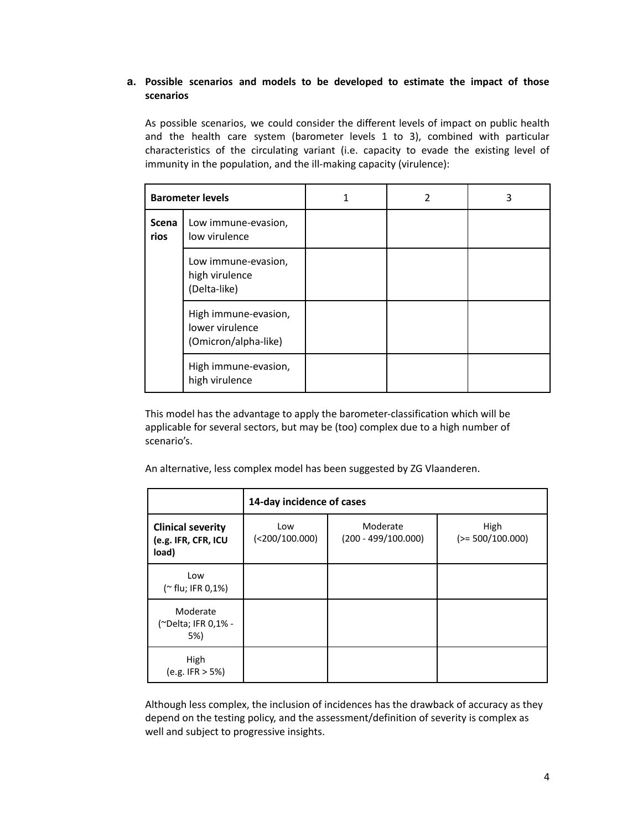# **a. Possible scenarios and models to be developed to estimate the impact of those scenarios**

As possible scenarios, we could consider the different levels of impact on public health and the health care system (barometer levels 1 to 3), combined with particular characteristics of the circulating variant (i.e. capacity to evade the existing level of immunity in the population, and the ill-making capacity (virulence):

|                      | <b>Barometer levels</b>                                         | 1 | 2 | 3 |
|----------------------|-----------------------------------------------------------------|---|---|---|
| <b>Scena</b><br>rios | Low immune-evasion,<br>low virulence                            |   |   |   |
|                      | Low immune-evasion,<br>high virulence<br>(Delta-like)           |   |   |   |
|                      | High immune-evasion,<br>lower virulence<br>(Omicron/alpha-like) |   |   |   |
|                      | High immune-evasion,<br>high virulence                          |   |   |   |

This model has the advantage to apply the barometer-classification which will be applicable for several sectors, but may be (too) complex due to a high number of scenario's.

An alternative, less complex model has been suggested by ZG Vlaanderen.

|                                                          | 14-day incidence of cases |                                   |                            |  |  |
|----------------------------------------------------------|---------------------------|-----------------------------------|----------------------------|--|--|
| <b>Clinical severity</b><br>(e.g. IFR, CFR, ICU<br>load) | Low<br>(<200/100.000)     | Moderate<br>$(200 - 499/100.000)$ | High<br>$(>= 500/100.000)$ |  |  |
| Low<br>(~ flu; IFR 0,1%)                                 |                           |                                   |                            |  |  |
| Moderate<br>(~Delta; IFR 0,1% -<br>5%)                   |                           |                                   |                            |  |  |
| High<br>(e.g. IFR > 5%)                                  |                           |                                   |                            |  |  |

Although less complex, the inclusion of incidences has the drawback of accuracy as they depend on the testing policy, and the assessment/definition of severity is complex as well and subject to progressive insights.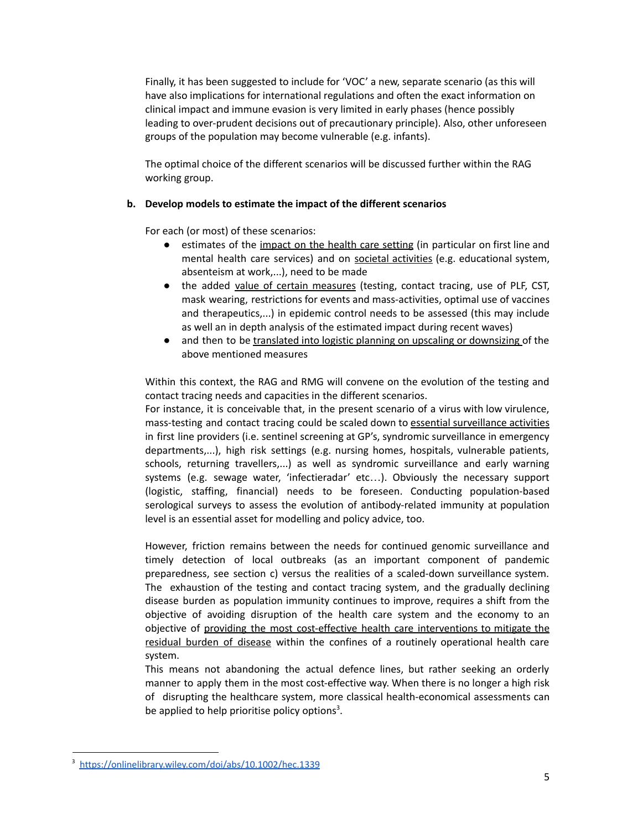Finally, it has been suggested to include for 'VOC' a new, separate scenario (as this will have also implications for international regulations and often the exact information on clinical impact and immune evasion is very limited in early phases (hence possibly leading to over-prudent decisions out of precautionary principle). Also, other unforeseen groups of the population may become vulnerable (e.g. infants).

The optimal choice of the different scenarios will be discussed further within the RAG working group.

## **b. Develop models to estimate the impact of the different scenarios**

For each (or most) of these scenarios:

- estimates of the impact on the health care setting (in particular on first line and mental health care services) and on societal activities (e.g. educational system, absenteism at work,...), need to be made
- the added value of certain measures (testing, contact tracing, use of PLF, CST, mask wearing, restrictions for events and mass-activities, optimal use of vaccines and therapeutics,...) in epidemic control needs to be assessed (this may include as well an in depth analysis of the estimated impact during recent waves)
- and then to be translated into logistic planning on upscaling or downsizing of the above mentioned measures

Within this context, the RAG and RMG will convene on the evolution of the testing and contact tracing needs and capacities in the different scenarios.

For instance, it is conceivable that, in the present scenario of a virus with low virulence, mass-testing and contact tracing could be scaled down to essential surveillance activities in first line providers (i.e. sentinel screening at GP's, syndromic surveillance in emergency departments,...), high risk settings (e.g. nursing homes, hospitals, vulnerable patients, schools, returning travellers,...) as well as syndromic surveillance and early warning systems (e.g. sewage water, 'infectieradar' etc…). Obviously the necessary support (logistic, staffing, financial) needs to be foreseen. Conducting population-based serological surveys to assess the evolution of antibody-related immunity at population level is an essential asset for modelling and policy advice, too.

However, friction remains between the needs for continued genomic surveillance and timely detection of local outbreaks (as an important component of pandemic preparedness, see section c) versus the realities of a scaled-down surveillance system. The exhaustion of the testing and contact tracing system, and the gradually declining disease burden as population immunity continues to improve, requires a shift from the objective of avoiding disruption of the health care system and the economy to an objective of providing the most cost-effective health care interventions to mitigate the residual burden of disease within the confines of a routinely operational health care system.

This means not abandoning the actual defence lines, but rather seeking an orderly manner to apply them in the most cost-effective way. When there is no longer a high risk of disrupting the healthcare system, more classical health-economical assessments can be applied to help prioritise policy options<sup>3</sup>.

<sup>3</sup> <https://onlinelibrary.wiley.com/doi/abs/10.1002/hec.1339>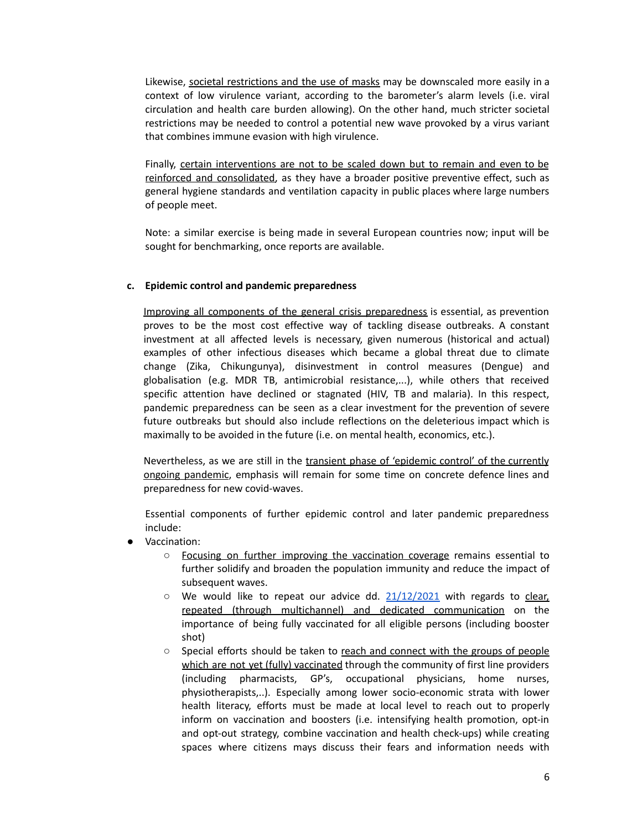Likewise, societal restrictions and the use of masks may be downscaled more easily in a context of low virulence variant, according to the barometer's alarm levels (i.e. viral circulation and health care burden allowing). On the other hand, much stricter societal restrictions may be needed to control a potential new wave provoked by a virus variant that combines immune evasion with high virulence.

Finally, certain interventions are not to be scaled down but to remain and even to be reinforced and consolidated, as they have a broader positive preventive effect, such as general hygiene standards and ventilation capacity in public places where large numbers of people meet.

Note: a similar exercise is being made in several European countries now; input will be sought for benchmarking, once reports are available.

#### **c. Epidemic control and pandemic preparedness**

Improving all components of the general crisis preparedness is essential, as prevention proves to be the most cost effective way of tackling disease outbreaks. A constant investment at all affected levels is necessary, given numerous (historical and actual) examples of other infectious diseases which became a global threat due to climate change (Zika, Chikungunya), disinvestment in control measures (Dengue) and globalisation (e.g. MDR TB, antimicrobial resistance,...), while others that received specific attention have declined or stagnated (HIV, TB and malaria). In this respect, pandemic preparedness can be seen as a clear investment for the prevention of severe future outbreaks but should also include reflections on the deleterious impact which is maximally to be avoided in the future (i.e. on mental health, economics, etc.).

Nevertheless, as we are still in the transient phase of 'epidemic control' of the currently ongoing pandemic, emphasis will remain for some time on concrete defence lines and preparedness for new covid-waves.

Essential components of further epidemic control and later pandemic preparedness include:

- Vaccination:
	- Focusing on further improving the vaccination coverage remains essential to further solidify and broaden the population immunity and reduce the impact of subsequent waves.
	- $\circ$  We would like to repeat our advice dd.  $21/12/2021$  with regards to clear, repeated (through multichannel) and dedicated communication on the importance of being fully vaccinated for all eligible persons (including booster shot)
	- Special efforts should be taken to reach and connect with the groups of people which are not yet (fully) vaccinated through the community of first line providers (including pharmacists, GP's, occupational physicians, home nurses, physiotherapists,..). Especially among lower socio-economic strata with lower health literacy, efforts must be made at local level to reach out to properly inform on vaccination and boosters (i.e. intensifying health promotion, opt-in and opt-out strategy, combine vaccination and health check-ups) while creating spaces where citizens mays discuss their fears and information needs with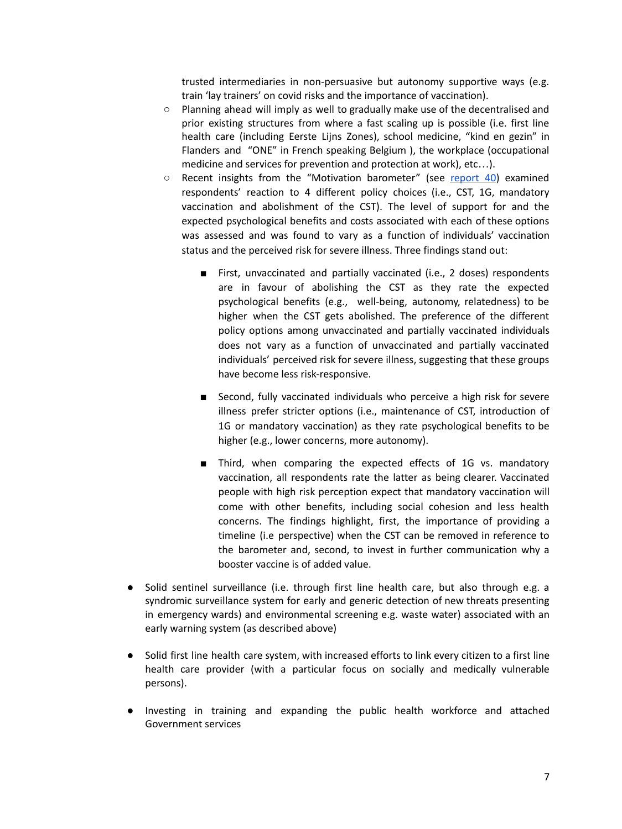trusted intermediaries in non-persuasive but autonomy supportive ways (e.g. train 'lay trainers' on covid risks and the importance of vaccination).

- $\circ$  Planning ahead will imply as well to gradually make use of the decentralised and prior existing structures from where a fast scaling up is possible (i.e. first line health care (including Eerste Lijns Zones), school medicine, "kind en gezin" in Flanders and "ONE" in French speaking Belgium ), the workplace (occupational medicine and services for prevention and protection at work), etc…).
- $\circ$  Recent insights from the "Motivation barometer" (see [report](https://motivationbarometer.com/en/uncategorized/publicatie-rapport-40-het-cst-vaccinatieplicht-1g-beleid-of-alles-op-de-schop/) 40) examined respondents' reaction to 4 different policy choices (i.e., CST, 1G, mandatory vaccination and abolishment of the CST). The level of support for and the expected psychological benefits and costs associated with each of these options was assessed and was found to vary as a function of individuals' vaccination status and the perceived risk for severe illness. Three findings stand out:
	- First, unvaccinated and partially vaccinated (i.e., 2 doses) respondents are in favour of abolishing the CST as they rate the expected psychological benefits (e.g., well-being, autonomy, relatedness) to be higher when the CST gets abolished. The preference of the different policy options among unvaccinated and partially vaccinated individuals does not vary as a function of unvaccinated and partially vaccinated individuals' perceived risk for severe illness, suggesting that these groups have become less risk-responsive.
	- Second, fully vaccinated individuals who perceive a high risk for severe illness prefer stricter options (i.e., maintenance of CST, introduction of 1G or mandatory vaccination) as they rate psychological benefits to be higher (e.g., lower concerns, more autonomy).
	- Third, when comparing the expected effects of 1G vs. mandatory vaccination, all respondents rate the latter as being clearer. Vaccinated people with high risk perception expect that mandatory vaccination will come with other benefits, including social cohesion and less health concerns. The findings highlight, first, the importance of providing a timeline (i.e perspective) when the CST can be removed in reference to the barometer and, second, to invest in further communication why a booster vaccine is of added value.
- Solid sentinel surveillance (i.e. through first line health care, but also through e.g. a syndromic surveillance system for early and generic detection of new threats presenting in emergency wards) and environmental screening e.g. waste water) associated with an early warning system (as described above)
- Solid first line health care system, with increased efforts to link every citizen to a first line health care provider (with a particular focus on socially and medically vulnerable persons).
- Investing in training and expanding the public health workforce and attached Government services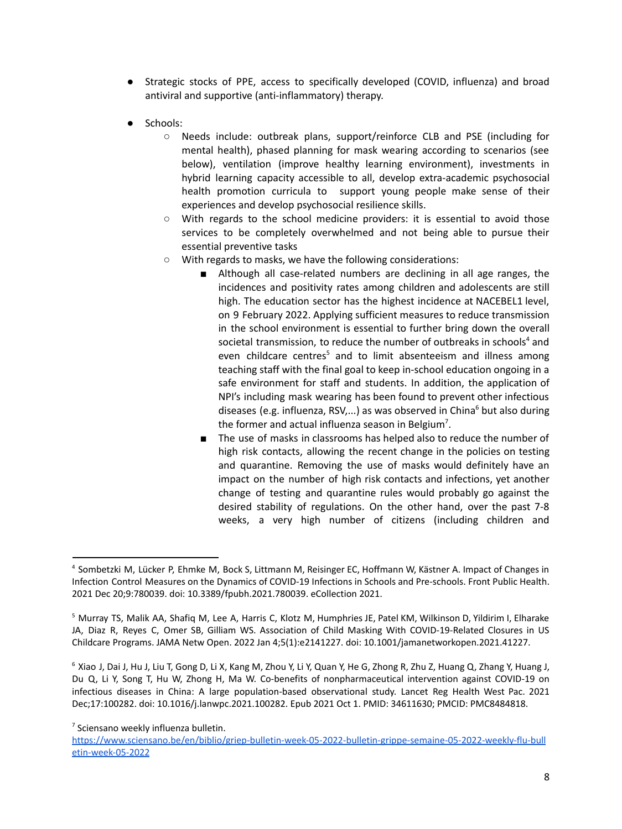- Strategic stocks of PPE, access to specifically developed (COVID, influenza) and broad antiviral and supportive (anti-inflammatory) therapy.
- Schools:
	- Needs include: outbreak plans, support/reinforce CLB and PSE (including for mental health), phased planning for mask wearing according to scenarios (see below), ventilation (improve healthy learning environment), investments in hybrid learning capacity accessible to all, develop extra-academic psychosocial health promotion curricula to support young people make sense of their experiences and develop psychosocial resilience skills.
	- With regards to the school medicine providers: it is essential to avoid those services to be completely overwhelmed and not being able to pursue their essential preventive tasks
	- With regards to masks, we have the following considerations:
		- Although all case-related numbers are declining in all age ranges, the incidences and positivity rates among children and adolescents are still high. The education sector has the highest incidence at NACEBEL1 level, on 9 February 2022. Applying sufficient measures to reduce transmission in the school environment is essential to further bring down the overall societal transmission, to reduce the number of outbreaks in schools<sup>4</sup> and even childcare centres<sup>5</sup> and to limit absenteeism and illness among teaching staff with the final goal to keep in-school education ongoing in a safe environment for staff and students. In addition, the application of NPI's including mask wearing has been found to prevent other infectious diseases (e.g. influenza, RSV,...) as was observed in China<sup>6</sup> but also during the former and actual influenza season in Belgium<sup>7</sup>.
		- The use of masks in classrooms has helped also to reduce the number of high risk contacts, allowing the recent change in the policies on testing and quarantine. Removing the use of masks would definitely have an impact on the number of high risk contacts and infections, yet another change of testing and quarantine rules would probably go against the desired stability of regulations. On the other hand, over the past 7-8 weeks, a very high number of citizens (including children and

 $6$  Xiao J, Dai J, Hu J, Liu T, Gong D, Li X, Kang M, Zhou Y, Li Y, Quan Y, He G, Zhong R, Zhu Z, Huang Q, Zhang Y, Huang J, Du Q, Li Y, Song T, Hu W, Zhong H, Ma W. Co-benefits of nonpharmaceutical intervention against COVID-19 on infectious diseases in China: A large population-based observational study. Lancet Reg Health West Pac. 2021 Dec;17:100282. doi: 10.1016/j.lanwpc.2021.100282. Epub 2021 Oct 1. PMID: 34611630; PMCID: PMC8484818.

<sup>4</sup> Sombetzki M, Lücker P, Ehmke M, Bock S, Littmann M, Reisinger EC, Hoffmann W, Kästner A. Impact of Changes in Infection Control Measures on the Dynamics of COVID-19 Infections in Schools and Pre-schools. Front Public Health. 2021 Dec 20;9:780039. doi: 10.3389/fpubh.2021.780039. eCollection 2021.

<sup>5</sup> Murray TS, Malik AA, Shafiq M, Lee A, Harris C, Klotz M, Humphries JE, Patel KM, Wilkinson D, Yildirim I, Elharake JA, Diaz R, Reyes C, Omer SB, Gilliam WS. Association of Child Masking With COVID-19-Related Closures in US Childcare Programs. JAMA Netw Open. 2022 Jan 4;5(1):e2141227. doi: 10.1001/jamanetworkopen.2021.41227.

<sup>&</sup>lt;sup>7</sup> Sciensano weekly influenza bulletin.

[https://www.sciensano.be/en/biblio/griep-bulletin-week-05-2022-bulletin-grippe-semaine-05-2022-weekly-flu-bull](https://www.sciensano.be/en/biblio/griep-bulletin-week-05-2022-bulletin-grippe-semaine-05-2022-weekly-flu-bulletin-week-05-2022) [etin-week-05-2022](https://www.sciensano.be/en/biblio/griep-bulletin-week-05-2022-bulletin-grippe-semaine-05-2022-weekly-flu-bulletin-week-05-2022)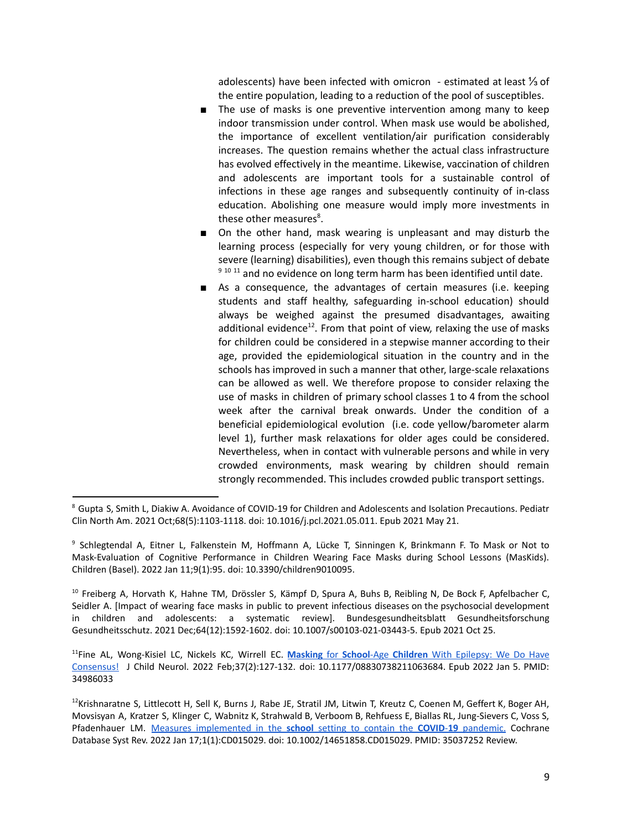adolescents) have been infected with omicron - estimated at least ⅓ of the entire population, leading to a reduction of the pool of susceptibles.

- The use of masks is one preventive intervention among many to keep indoor transmission under control. When mask use would be abolished, the importance of excellent ventilation/air purification considerably increases. The question remains whether the actual class infrastructure has evolved effectively in the meantime. Likewise, vaccination of children and adolescents are important tools for a sustainable control of infections in these age ranges and subsequently continuity of in-class education. Abolishing one measure would imply more investments in these other measures<sup>8</sup>.
- On the other hand, mask wearing is unpleasant and may disturb the learning process (especially for very young children, or for those with severe (learning) disabilities), even though this remains subject of debate  $9^{9}$  10 11 and no evidence on long term harm has been identified until date.
- As a consequence, the advantages of certain measures (i.e. keeping students and staff healthy, safeguarding in-school education) should always be weighed against the presumed disadvantages, awaiting additional evidence<sup>12</sup>. From that point of view, relaxing the use of masks for children could be considered in a stepwise manner according to their age, provided the epidemiological situation in the country and in the schools has improved in such a manner that other, large-scale relaxations can be allowed as well. We therefore propose to consider relaxing the use of masks in children of primary school classes 1 to 4 from the school week after the carnival break onwards. Under the condition of a beneficial epidemiological evolution (i.e. code yellow/barometer alarm level 1), further mask relaxations for older ages could be considered. Nevertheless, when in contact with vulnerable persons and while in very crowded environments, mask wearing by children should remain strongly recommended. This includes crowded public transport settings.

 $^{10}$  Freiberg A, Horvath K, Hahne TM, Drössler S, Kämpf D, Spura A, Buhs B, Reibling N, De Bock F, Apfelbacher C, Seidler A. [Impact of wearing face masks in public to prevent infectious diseases on the psychosocial development in children and adolescents: a systematic review]. Bundesgesundheitsblatt Gesundheitsforschung Gesundheitsschutz. 2021 Dec;64(12):1592-1602. doi: 10.1007/s00103-021-03443-5. Epub 2021 Oct 25.

<sup>11</sup>Fine AL, Wong-Kisiel LC, Nickels KC, Wirrell EC. **Masking** for **School**-Age **Children** With [Epilepsy:](https://pubmed.ncbi.nlm.nih.gov/34986033/) We Do Have [Consensus!](https://pubmed.ncbi.nlm.nih.gov/34986033/) J Child Neurol. 2022 Feb;37(2):127-132. doi: 10.1177/08830738211063684. Epub 2022 Jan 5. PMID: 34986033

<sup>8</sup> Gupta S, Smith L, Diakiw A. Avoidance of COVID-19 for Children and Adolescents and Isolation Precautions. Pediatr Clin North Am. 2021 Oct;68(5):1103-1118. doi: 10.1016/j.pcl.2021.05.011. Epub 2021 May 21.

<sup>9</sup> Schlegtendal A, Eitner L, Falkenstein M, Hoffmann A, Lücke T, Sinningen K, Brinkmann F. To Mask or Not to Mask-Evaluation of Cognitive Performance in Children Wearing Face Masks during School Lessons (MasKids). Children (Basel). 2022 Jan 11;9(1):95. doi: 10.3390/children9010095.

 $12$ Krishnaratne S, Littlecott H, Sell K, Burns J, Rabe JE, Stratil JM, Litwin T, Kreutz C, Coenen M, Geffert K, Boger AH, Movsisyan A, Kratzer S, Klinger C, Wabnitz K, Strahwald B, Verboom B, Rehfuess E, Biallas RL, Jung-Sievers C, Voss S, Pfadenhauer LM. Measures [implemented](https://pubmed.ncbi.nlm.nih.gov/35037252/) in the **school** setting to contain the **COVID**-**19** pandemic. Cochrane Database Syst Rev. 2022 Jan 17;1(1):CD015029. doi: 10.1002/14651858.CD015029. PMID: 35037252 Review.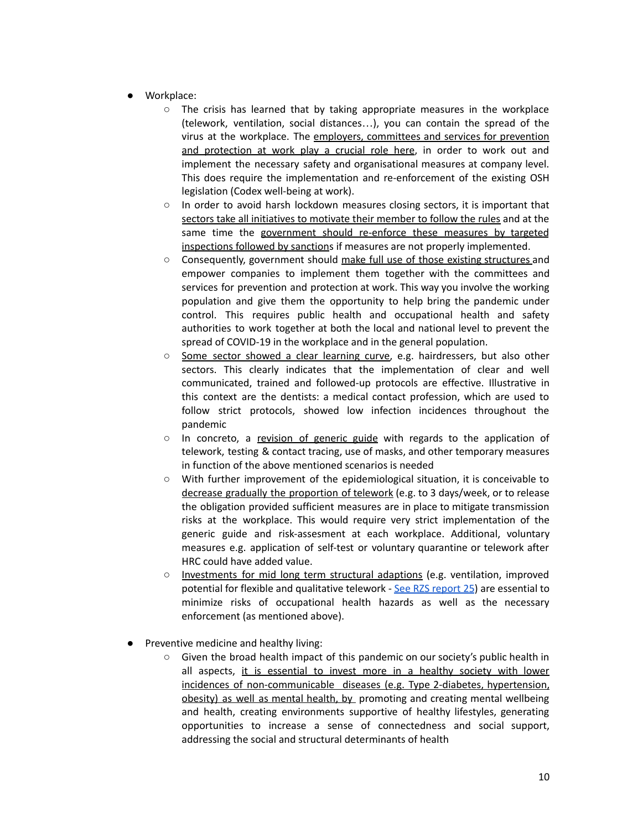- Workplace:
	- $\circ$  The crisis has learned that by taking appropriate measures in the workplace (telework, ventilation, social distances…), you can contain the spread of the virus at the workplace. The employers, committees and services for prevention and protection at work play a crucial role here, in order to work out and implement the necessary safety and organisational measures at company level. This does require the implementation and re-enforcement of the existing OSH legislation (Codex well-being at work).
	- In order to avoid harsh lockdown measures closing sectors, it is important that sectors take all initiatives to motivate their member to follow the rules and at the same time the government should re-enforce these measures by targeted inspections followed by sanctions if measures are not properly implemented.
	- Consequently, government should make full use of those existing structures and empower companies to implement them together with the committees and services for prevention and protection at work. This way you involve the working population and give them the opportunity to help bring the pandemic under control. This requires public health and occupational health and safety authorities to work together at both the local and national level to prevent the spread of COVID-19 in the workplace and in the general population.
	- Some sector showed a clear learning curve, e.g. hairdressers, but also other sectors. This clearly indicates that the implementation of clear and well communicated, trained and followed-up protocols are effective. Illustrative in this context are the dentists: a medical contact profession, which are used to follow strict protocols, showed low infection incidences throughout the pandemic
	- $\circ$  In concreto, a revision of generic guide with regards to the application of telework, testing & contact tracing, use of masks, and other temporary measures in function of the above mentioned scenarios is needed
	- With further improvement of the epidemiological situation, it is conceivable to decrease gradually the proportion of telework (e.g. to 3 days/week, or to release the obligation provided sufficient measures are in place to mitigate transmission risks at the workplace. This would require very strict implementation of the generic guide and risk-assesment at each workplace. Additional, voluntary measures e.g. application of self-test or voluntary quarantine or telework after HRC could have added value.
	- Investments for mid long term structural adaptions (e.g. ventilation, improved potential for flexible and qualitative telework - See RZS [report](https://fdn01.fed.be/documents/91f515f8ee7cf2e2a19ddf901f8a53c5/COVID%20RZS2021_v25.pdf) 25) are essential to minimize risks of occupational health hazards as well as the necessary enforcement (as mentioned above).
- Preventive medicine and healthy living:
	- Given the broad health impact of this pandemic on our society's public health in all aspects, it is essential to invest more in a healthy society with lower incidences of non-communicable diseases (e.g. Type 2-diabetes, hypertension, obesity) as well as mental health, by promoting and creating mental wellbeing and health, creating environments supportive of healthy lifestyles, generating opportunities to increase a sense of connectedness and social support, addressing the social and structural determinants of health